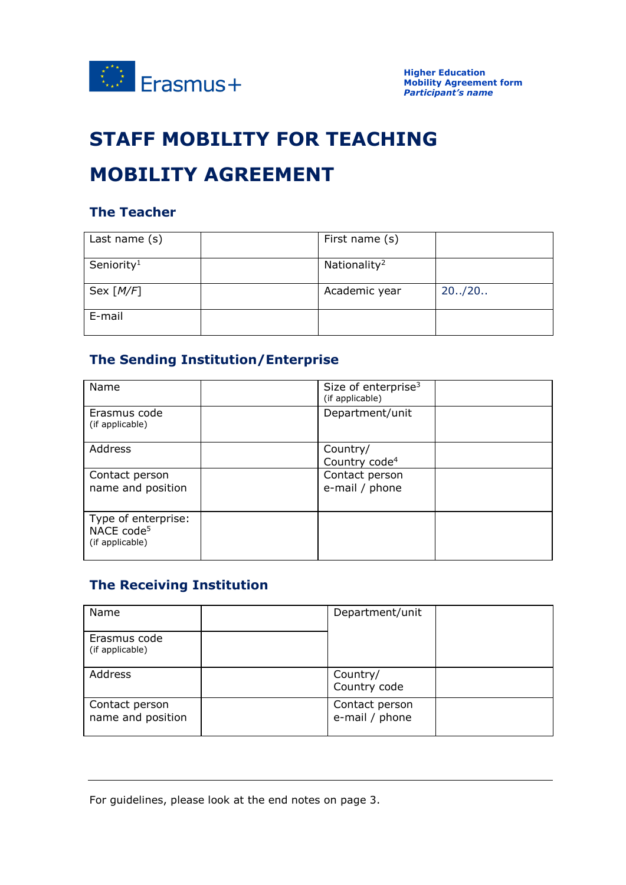

# **STAFF MOBILITY FOR TEACHING**

# **MOBILITY AGREEMENT**

#### **The Teacher**

| Last name (s)          | First name (s)           |         |
|------------------------|--------------------------|---------|
| Seniority <sup>1</sup> | Nationality <sup>2</sup> |         |
| Sex $[M/F]$            | Academic year            | 20.720. |
| E-mail                 |                          |         |

### **The Sending Institution/Enterprise**

| Name                                                             | Size of enterprise $3$<br>(if applicable) |
|------------------------------------------------------------------|-------------------------------------------|
| Erasmus code<br>(if applicable)                                  | Department/unit                           |
| Address                                                          | Country/<br>Country code <sup>4</sup>     |
| Contact person<br>name and position                              | Contact person<br>e-mail / phone          |
| Type of enterprise:<br>NACE code <sup>5</sup><br>(if applicable) |                                           |

## **The Receiving Institution**

| Name                                | Department/unit                  |  |
|-------------------------------------|----------------------------------|--|
| Erasmus code<br>(if applicable)     |                                  |  |
| Address                             | Country/<br>Country code         |  |
| Contact person<br>name and position | Contact person<br>e-mail / phone |  |

For guidelines, please look at the end notes on page 3.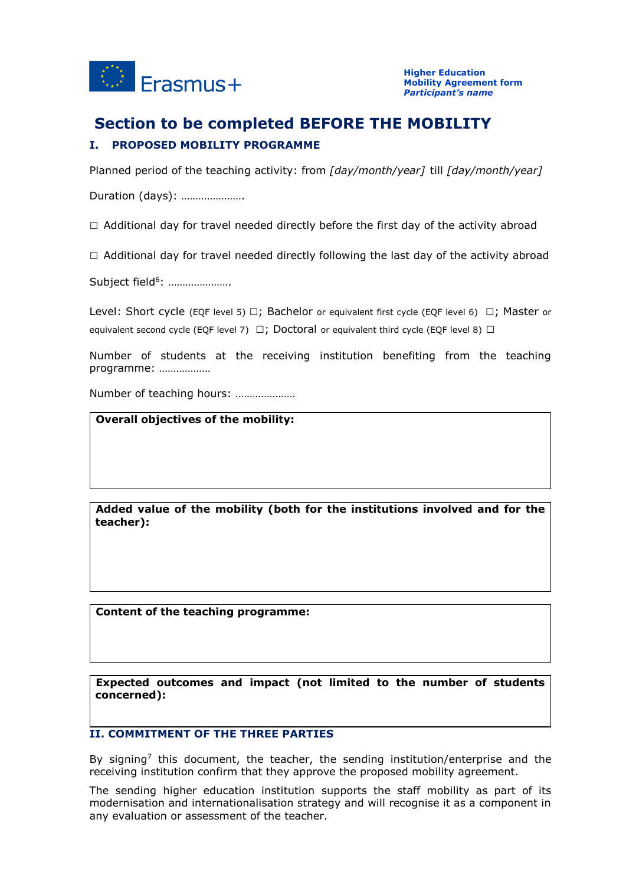

# **Section to be completed BEFORE THE MOBILITY**

#### **I. PROPOSED MOBILITY PROGRAMME**

Planned period of the teaching activity: from *[day/month/year]* till *[day/month/year]*

Duration (days): ………………….

 $\Box$  Additional day for travel needed directly before the first day of the activity abroad

 $\Box$  Additional day for travel needed directly following the last day of the activity abroad

Subject field<sup>6</sup>: .....................

Level: Short cycle (EQF level 5)  $\Box$ ; Bachelor or equivalent first cycle (EQF level 6)  $\Box$ ; Master or equivalent second cycle (EQF level 7)  $\Box$ ; Doctoral or equivalent third cycle (EQF level 8)  $\Box$ 

Number of students at the receiving institution benefiting from the teaching programme: ………………

Number of teaching hours: …………………

**Overall objectives of the mobility:**

**Added value of the mobility (both for the institutions involved and for the teacher):**

**Content of the teaching programme:**

**Expected outcomes and impact (not limited to the number of students concerned):**

#### **II. COMMITMENT OF THE THREE PARTIES**

By signing<sup>7</sup> this document, the teacher, the sending institution/enterprise and the receiving institution confirm that they approve the proposed mobility agreement.

The sending higher education institution supports the staff mobility as part of its modernisation and internationalisation strategy and will recognise it as a component in any evaluation or assessment of the teacher.